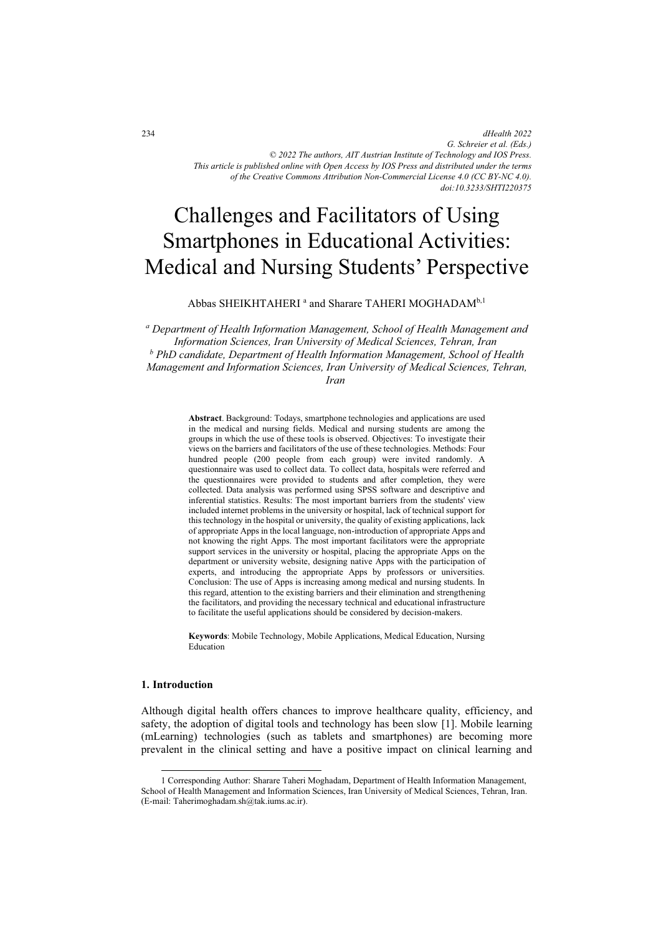*dHealth 2022 G. Schreier et al. (Eds.) © 2022 The authors, AIT Austrian Institute of Technology and IOS Press. This article is published online with Open Access by IOS Press and distributed under the terms of the Creative Commons Attribution Non-Commercial License 4.0 (CC BY-NC 4.0). doi:10.3233/SHTI220375*

# Challenges and Facilitators of Using Smartphones in Educational Activities: Medical and Nursing Students' Perspective

Abbas SHEIKHTAHERI <sup>a</sup> and Sharare TAHERI MOGHADAM<sup>b,1</sup>

*a Department of Health Information Management, School of Health Management and Information Sciences, Iran University of Medical Sciences, Tehran, Iran b PhD candidate, Department of Health Information Management, School of Health Management and Information Sciences, Iran University of Medical Sciences, Tehran,* 

*Iran* 

**Abstract**. Background: Todays, smartphone technologies and applications are used in the medical and nursing fields. Medical and nursing students are among the groups in which the use of these tools is observed. Objectives: To investigate their views on the barriers and facilitators of the use of these technologies. Methods: Four hundred people (200 people from each group) were invited randomly. A questionnaire was used to collect data. To collect data, hospitals were referred and the questionnaires were provided to students and after completion, they were collected. Data analysis was performed using SPSS software and descriptive and inferential statistics. Results: The most important barriers from the students' view included internet problems in the university or hospital, lack of technical support for this technology in the hospital or university, the quality of existing applications, lack of appropriate Apps in the local language, non-introduction of appropriate Apps and not knowing the right Apps. The most important facilitators were the appropriate support services in the university or hospital, placing the appropriate Apps on the department or university website, designing native Apps with the participation of experts, and introducing the appropriate Apps by professors or universities. Conclusion: The use of Apps is increasing among medical and nursing students. In this regard, attention to the existing barriers and their elimination and strengthening the facilitators, and providing the necessary technical and educational infrastructure to facilitate the useful applications should be considered by decision-makers.

**Keywords**: Mobile Technology, Mobile Applications, Medical Education, Nursing Education

## **1. Introduction**

Although digital health offers chances to improve healthcare quality, efficiency, and safety, the adoption of digital tools and technology has been slow [1]. Mobile learning (mLearning) technologies (such as tablets and smartphones) are becoming more prevalent in the clinical setting and have a positive impact on clinical learning and

<sup>1</sup> Corresponding Author: Sharare Taheri Moghadam, Department of Health Information Management, School of Health Management and Information Sciences, Iran University of Medical Sciences, Tehran, Iran. (E-mail: Taherimoghadam.sh@tak.iums.ac.ir).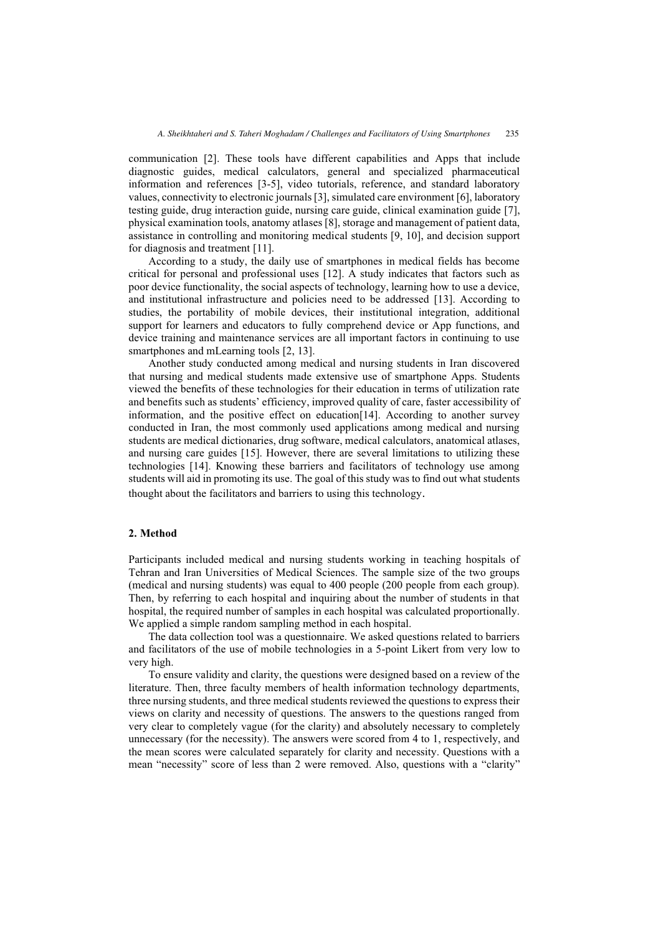communication [2]. These tools have different capabilities and Apps that include diagnostic guides, medical calculators, general and specialized pharmaceutical information and references [3-5], video tutorials, reference, and standard laboratory values, connectivity to electronic journals [3], simulated care environment [6], laboratory testing guide, drug interaction guide, nursing care guide, clinical examination guide [7], physical examination tools, anatomy atlases [8], storage and management of patient data, assistance in controlling and monitoring medical students [9, 10], and decision support for diagnosis and treatment [11].

According to a study, the daily use of smartphones in medical fields has become critical for personal and professional uses [12]. A study indicates that factors such as poor device functionality, the social aspects of technology, learning how to use a device, and institutional infrastructure and policies need to be addressed [13]. According to studies, the portability of mobile devices, their institutional integration, additional support for learners and educators to fully comprehend device or App functions, and device training and maintenance services are all important factors in continuing to use smartphones and mLearning tools [2, 13].

Another study conducted among medical and nursing students in Iran discovered that nursing and medical students made extensive use of smartphone Apps. Students viewed the benefits of these technologies for their education in terms of utilization rate and benefits such as students' efficiency, improved quality of care, faster accessibility of information, and the positive effect on education[14]. According to another survey conducted in Iran, the most commonly used applications among medical and nursing students are medical dictionaries, drug software, medical calculators, anatomical atlases, and nursing care guides [15]. However, there are several limitations to utilizing these technologies [14]. Knowing these barriers and facilitators of technology use among students will aid in promoting its use. The goal of this study was to find out what students thought about the facilitators and barriers to using this technology .

#### **2. Method**

Participants included medical and nursing students working in teaching hospitals of Tehran and Iran Universities of Medical Sciences. The sample size of the two groups (medical and nursing students) was equal to 400 people (200 people from each group). Then, by referring to each hospital and inquiring about the number of students in that hospital, the required number of samples in each hospital was calculated proportionally. We applied a simple random sampling method in each hospital.

The data collection tool was a questionnaire. We asked questions related to barriers and facilitators of the use of mobile technologies in a 5-point Likert from very low to very high.

To ensure validity and clarity, the questions were designed based on a review of the literature. Then, three faculty members of health information technology departments, three nursing students, and three medical students reviewed the questions to express their views on clarity and necessity of questions. The answers to the questions ranged from very clear to completely vague (for the clarity) and absolutely necessary to completely unnecessary (for the necessity). The answers were scored from 4 to 1, respectively, and the mean scores were calculated separately for clarity and necessity. Questions with a mean "necessity" score of less than 2 were removed. Also, questions with a "clarity"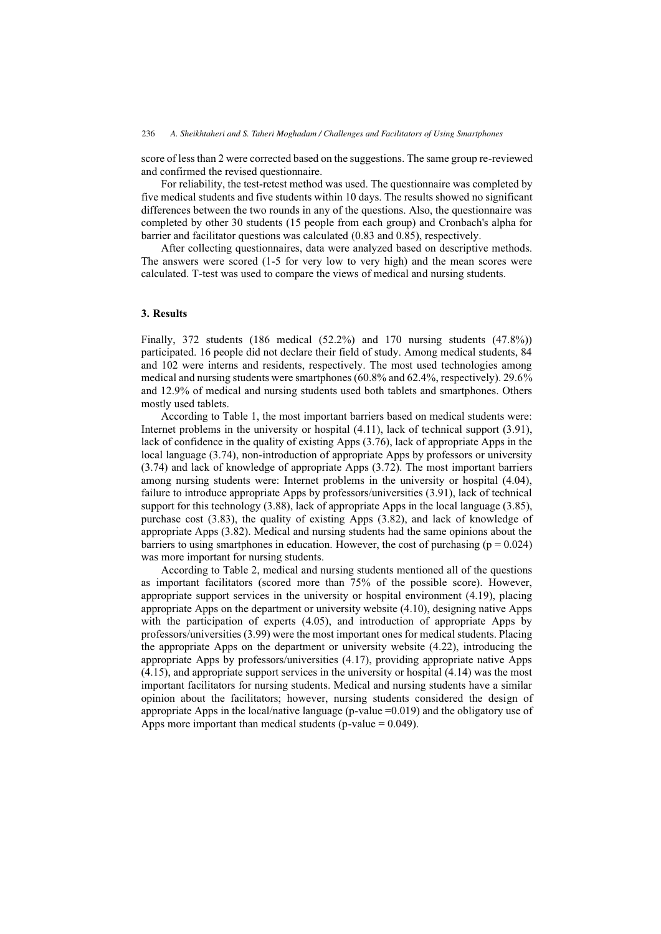score of less than 2 were corrected based on the suggestions. The same group re-reviewed and confirmed the revised questionnaire.

For reliability, the test-retest method was used. The questionnaire was completed by five medical students and five students within 10 days. The results showed no significant differences between the two rounds in any of the questions. Also, the questionnaire was completed by other 30 students (15 people from each group) and Cronbach's alpha for barrier and facilitator questions was calculated (0.83 and 0.85), respectively.

After collecting questionnaires, data were analyzed based on descriptive methods. The answers were scored (1-5 for very low to very high) and the mean scores were calculated. T-test was used to compare the views of medical and nursing students.

#### **3. Results**

Finally, 372 students (186 medical (52.2%) and 170 nursing students (47.8%)) participated. 16 people did not declare their field of study. Among medical students, 84 and 102 were interns and residents, respectively. The most used technologies among medical and nursing students were smartphones (60.8% and 62.4%, respectively). 29.6% and 12.9% of medical and nursing students used both tablets and smartphones. Others mostly used tablets.

According to Table 1, the most important barriers based on medical students were: Internet problems in the university or hospital (4.11), lack of technical support (3.91), lack of confidence in the quality of existing Apps (3.76), lack of appropriate Apps in the local language (3.74), non-introduction of appropriate Apps by professors or university (3.74) and lack of knowledge of appropriate Apps (3.72). The most important barriers among nursing students were: Internet problems in the university or hospital (4.04), failure to introduce appropriate Apps by professors/universities (3.91), lack of technical support for this technology (3.88), lack of appropriate Apps in the local language (3.85), purchase cost (3.83), the quality of existing Apps (3.82), and lack of knowledge of appropriate Apps (3.82). Medical and nursing students had the same opinions about the barriers to using smartphones in education. However, the cost of purchasing  $(p = 0.024)$ was more important for nursing students.

According to Table 2, medical and nursing students mentioned all of the questions as important facilitators (scored more than 75% of the possible score). However, appropriate support services in the university or hospital environment (4.19), placing appropriate Apps on the department or university website (4.10), designing native Apps with the participation of experts (4.05), and introduction of appropriate Apps by professors/universities (3.99) were the most important ones for medical students. Placing the appropriate Apps on the department or university website (4.22), introducing the appropriate Apps by professors/universities (4.17), providing appropriate native Apps (4.15), and appropriate support services in the university or hospital (4.14) was the most important facilitators for nursing students. Medical and nursing students have a similar opinion about the facilitators; however, nursing students considered the design of appropriate Apps in the local/native language (p-value =0.019) and the obligatory use of Apps more important than medical students (p-value  $= 0.049$ ).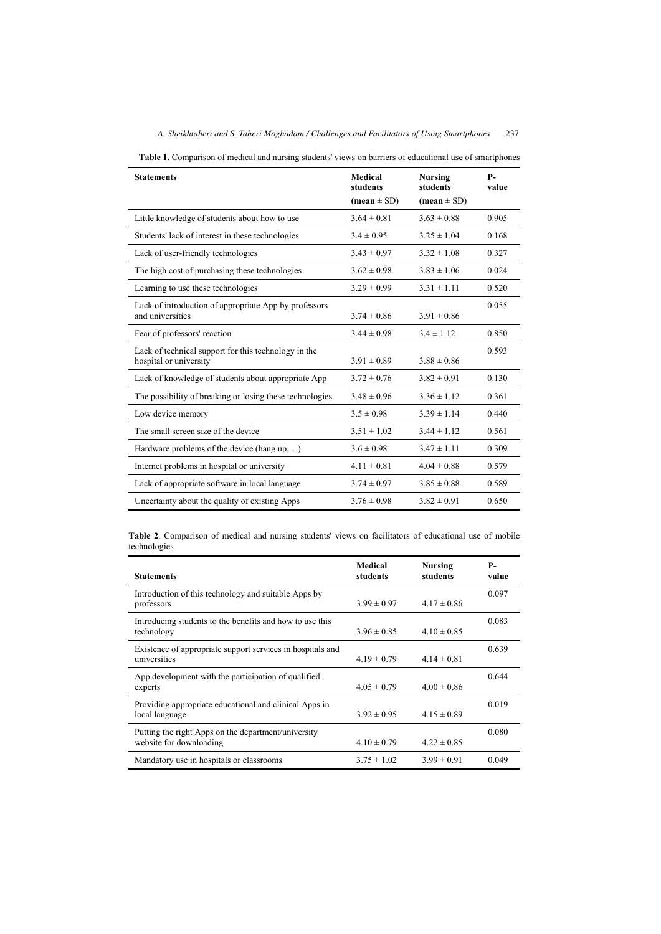| <b>Statements</b>                                        | Medical<br>students           | <b>Nursing</b><br>students | <b>P</b> -<br>value |
|----------------------------------------------------------|-------------------------------|----------------------------|---------------------|
|                                                          | $(\text{mean} \pm \text{SD})$ | $(\text{mean} \pm SD)$     |                     |
| Little knowledge of students about how to use            | $3.64 \pm 0.81$               | $3.63 \pm 0.88$            | 0.905               |
| Students' lack of interest in these technologies         | $3.4 \pm 0.95$                | $3.25 \pm 1.04$            | 0.168               |
| Lack of user-friendly technologies                       | $3.43 \pm 0.97$               | $3.32 \pm 1.08$            | 0.327               |
| The high cost of purchasing these technologies           | $3.62 \pm 0.98$               | $3.83 \pm 1.06$            | 0.024               |
| Learning to use these technologies                       | $3.29 \pm 0.99$               | $3.31 \pm 1.11$            | 0.520               |
| Lack of introduction of appropriate App by professors    |                               |                            | 0.055               |
| and universities                                         | $3.74 \pm 0.86$               | $3.91 \pm 0.86$            |                     |
| Fear of professors' reaction                             | $3.44 \pm 0.98$               | $3.4 \pm 1.12$             | 0.850               |
| Lack of technical support for this technology in the     |                               |                            | 0.593               |
| hospital or university                                   | $3.91 \pm 0.89$               | $3.88 \pm 0.86$            |                     |
| Lack of knowledge of students about appropriate App      | $3.72 \pm 0.76$               | $3.82 \pm 0.91$            | 0.130               |
| The possibility of breaking or losing these technologies | $3.48 \pm 0.96$               | $3.36 \pm 1.12$            | 0.361               |
| Low device memory                                        | $3.5 \pm 0.98$                | $3.39 \pm 1.14$            | 0.440               |
| The small screen size of the device                      | $3.51 \pm 1.02$               | $3.44 \pm 1.12$            | 0.561               |
| Hardware problems of the device (hang up, )              | $3.6 \pm 0.98$                | $3.47 \pm 1.11$            | 0.309               |
| Internet problems in hospital or university              | $4.11 \pm 0.81$               | $4.04 \pm 0.88$            | 0.579               |
| Lack of appropriate software in local language           | $3.74 \pm 0.97$               | $3.85 \pm 0.88$            | 0.589               |
| Uncertainty about the quality of existing Apps           | $3.76 \pm 0.98$               | $3.82 \pm 0.91$            | 0.650               |

**Table 1.** Comparison of medical and nursing students' views on barriers of educational use of smartphones

**Table 2**. Comparison of medical and nursing students' views on facilitators of educational use of mobile technologies

| <b>Statements</b>                                                              | Medical<br>students | Nursing<br>students | <b>P</b> -<br>value |
|--------------------------------------------------------------------------------|---------------------|---------------------|---------------------|
| Introduction of this technology and suitable Apps by<br>professors             | $3.99 \pm 0.97$     | $4.17 \pm 0.86$     | 0.097               |
| Introducing students to the benefits and how to use this<br>technology         | $3.96 \pm 0.85$     | $4.10 \pm 0.85$     | 0.083               |
| Existence of appropriate support services in hospitals and<br>universities     | $4.19 \pm 0.79$     | $4.14 \pm 0.81$     | 0.639               |
| App development with the participation of qualified<br>experts                 | $4.05 \pm 0.79$     | $4.00 \pm 0.86$     | 0.644               |
| Providing appropriate educational and clinical Apps in<br>local language       | $3.92 \pm 0.95$     | $4.15 \pm 0.89$     | 0.019               |
| Putting the right Apps on the department/university<br>website for downloading | $4.10 \pm 0.79$     | $4.22 \pm 0.85$     | 0.080               |
| Mandatory use in hospitals or classrooms                                       | $3.75 \pm 1.02$     | $3.99 \pm 0.91$     | 0.049               |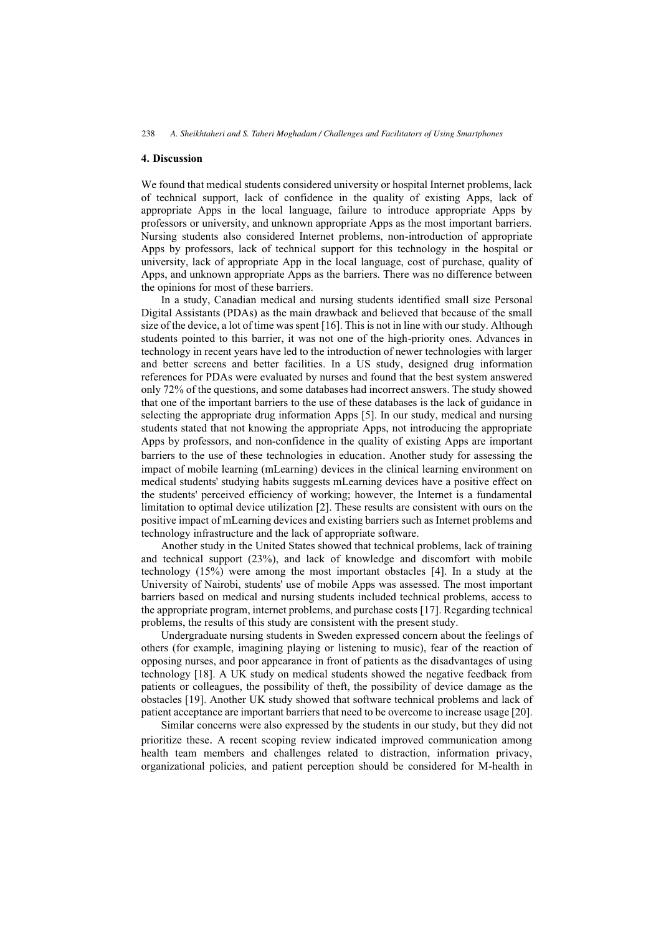## **4. Discussion**

We found that medical students considered university or hospital Internet problems, lack of technical support, lack of confidence in the quality of existing Apps, lack of appropriate Apps in the local language, failure to introduce appropriate Apps by professors or university, and unknown appropriate Apps as the most important barriers. Nursing students also considered Internet problems, non-introduction of appropriate Apps by professors, lack of technical support for this technology in the hospital or university, lack of appropriate App in the local language, cost of purchase, quality of Apps, and unknown appropriate Apps as the barriers. There was no difference between the opinions for most of these barriers.

In a study, Canadian medical and nursing students identified small size Personal Digital Assistants (PDAs) as the main drawback and believed that because of the small size of the device, a lot of time was spent [16]. This is not in line with our study. Although students pointed to this barrier, it was not one of the high-priority ones. Advances in technology in recent years have led to the introduction of newer technologies with larger and better screens and better facilities. In a US study, designed drug information references for PDAs were evaluated by nurses and found that the best system answered only 72% of the questions, and some databases had incorrect answers. The study showed that one of the important barriers to the use of these databases is the lack of guidance in selecting the appropriate drug information Apps [5]. In our study, medical and nursing students stated that not knowing the appropriate Apps, not introducing the appropriate Apps by professors, and non-confidence in the quality of existing Apps are important barriers to the use of these technologies in education. Another study for assessing the impact of mobile learning (mLearning) devices in the clinical learning environment on medical students' studying habits suggests mLearning devices have a positive effect on the students' perceived efficiency of working; however, the Internet is a fundamental limitation to optimal device utilization [2]. These results are consistent with ours on the positive impact of mLearning devices and existing barriers such as Internet problems and technology infrastructure and the lack of appropriate software.

Another study in the United States showed that technical problems, lack of training and technical support (23%), and lack of knowledge and discomfort with mobile technology (15%) were among the most important obstacles [4]. In a study at the University of Nairobi, students' use of mobile Apps was assessed. The most important barriers based on medical and nursing students included technical problems, access to the appropriate program, internet problems, and purchase costs [17]. Regarding technical problems, the results of this study are consistent with the present study.

Undergraduate nursing students in Sweden expressed concern about the feelings of others (for example, imagining playing or listening to music), fear of the reaction of opposing nurses, and poor appearance in front of patients as the disadvantages of using technology [18]. A UK study on medical students showed the negative feedback from patients or colleagues, the possibility of theft, the possibility of device damage as the obstacles [19]. Another UK study showed that software technical problems and lack of patient acceptance are important barriers that need to be overcome to increase usage [20].

Similar concerns were also expressed by the students in our study, but they did not prioritize these. A recent scoping review indicated improved communication among health team members and challenges related to distraction, information privacy, organizational policies, and patient perception should be considered for M-health in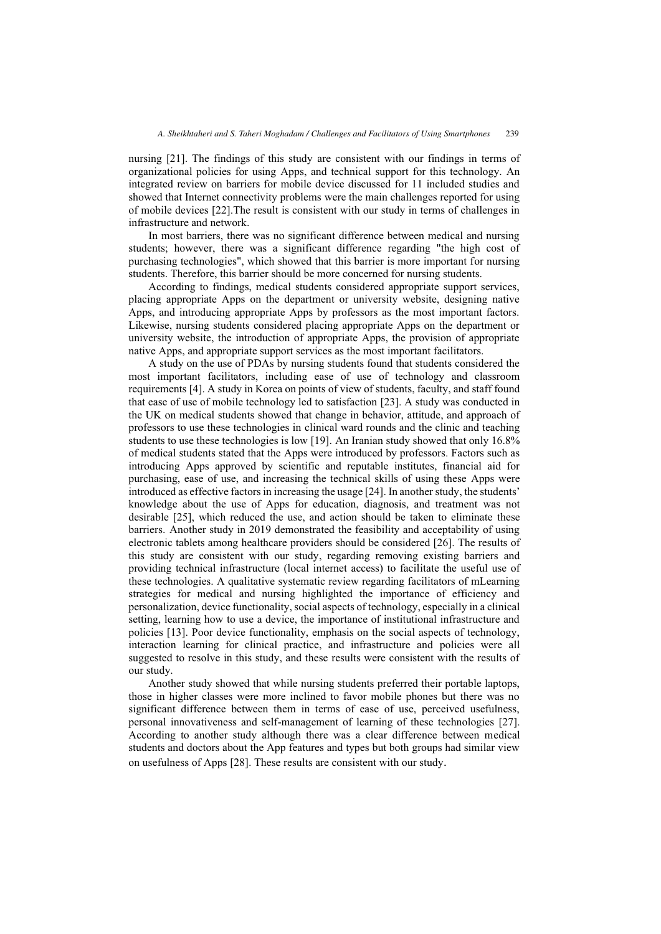nursing [21]. The findings of this study are consistent with our findings in terms of organizational policies for using Apps, and technical support for this technology. An integrated review on barriers for mobile device discussed for 11 included studies and showed that Internet connectivity problems were the main challenges reported for using of mobile devices [22].The result is consistent with our study in terms of challenges in infrastructure and network.

In most barriers, there was no significant difference between medical and nursing students; however, there was a significant difference regarding "the high cost of purchasing technologies", which showed that this barrier is more important for nursing students. Therefore, this barrier should be more concerned for nursing students.

According to findings, medical students considered appropriate support services, placing appropriate Apps on the department or university website, designing native Apps, and introducing appropriate Apps by professors as the most important factors. Likewise, nursing students considered placing appropriate Apps on the department or university website, the introduction of appropriate Apps, the provision of appropriate native Apps, and appropriate support services as the most important facilitators.

A study on the use of PDAs by nursing students found that students considered the most important facilitators, including ease of use of technology and classroom requirements [4]. A study in Korea on points of view of students, faculty, and staff found that ease of use of mobile technology led to satisfaction [23]. A study was conducted in the UK on medical students showed that change in behavior, attitude, and approach of professors to use these technologies in clinical ward rounds and the clinic and teaching students to use these technologies is low [19]. An Iranian study showed that only 16.8% of medical students stated that the Apps were introduced by professors. Factors such as introducing Apps approved by scientific and reputable institutes, financial aid for purchasing, ease of use, and increasing the technical skills of using these Apps were introduced as effective factors in increasing the usage [24]. In another study, the students' knowledge about the use of Apps for education, diagnosis, and treatment was not desirable [25], which reduced the use, and action should be taken to eliminate these barriers. Another study in 2019 demonstrated the feasibility and acceptability of using electronic tablets among healthcare providers should be considered [26]. The results of this study are consistent with our study, regarding removing existing barriers and providing technical infrastructure (local internet access) to facilitate the useful use of these technologies. A qualitative systematic review regarding facilitators of mLearning strategies for medical and nursing highlighted the importance of efficiency and personalization, device functionality, social aspects of technology, especially in a clinical setting, learning how to use a device, the importance of institutional infrastructure and policies [13]. Poor device functionality, emphasis on the social aspects of technology, interaction learning for clinical practice, and infrastructure and policies were all suggested to resolve in this study, and these results were consistent with the results of our study.

Another study showed that while nursing students preferred their portable laptops, those in higher classes were more inclined to favor mobile phones but there was no significant difference between them in terms of ease of use, perceived usefulness, personal innovativeness and self-management of learning of these technologies [27]. According to another study although there was a clear difference between medical students and doctors about the App features and types but both groups had similar view on usefulness of Apps [28]. These results are consistent with our study .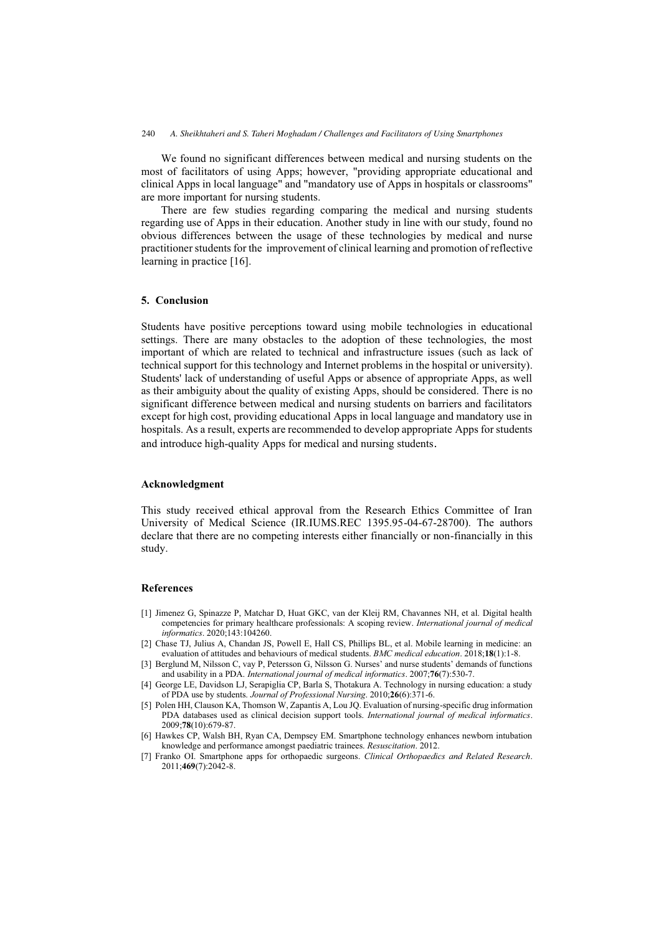We found no significant differences between medical and nursing students on the most of facilitators of using Apps; however, "providing appropriate educational and clinical Apps in local language" and "mandatory use of Apps in hospitals or classrooms" are more important for nursing students.

There are few studies regarding comparing the medical and nursing students regarding use of Apps in their education. Another study in line with our study, found no obvious differences between the usage of these technologies by medical and nurse practitioner students for the improvement of clinical learning and promotion of reflective learning in practice [16].

## **5. Conclusion**

Students have positive perceptions toward using mobile technologies in educational settings. There are many obstacles to the adoption of these technologies, the most important of which are related to technical and infrastructure issues (such as lack of technical support for this technology and Internet problems in the hospital or university). Students' lack of understanding of useful Apps or absence of appropriate Apps, as well as their ambiguity about the quality of existing Apps, should be considered. There is no significant difference between medical and nursing students on barriers and facilitators except for high cost, providing educational Apps in local language and mandatory use in hospitals. As a result, experts are recommended to develop appropriate Apps for students and introduce high-quality Apps for medical and nursing students.

## **Acknowledgment**

This study received ethical approval from the Research Ethics Committee of Iran University of Medical Science (IR.IUMS.REC 1395.95-04-67-28700). The authors declare that there are no competing interests either financially or non-financially in this study.

#### **References**

- [1] Jimenez G, Spinazze P, Matchar D, Huat GKC, van der Kleij RM, Chavannes NH, et al. Digital health competencies for primary healthcare professionals: A scoping review. *International journal of medical informatics*. 2020;143:104260.
- [2] Chase TJ, Julius A, Chandan JS, Powell E, Hall CS, Phillips BL, et al. Mobile learning in medicine: an evaluation of attitudes and behaviours of medical students. *BMC medical education*. 2018;**18**(1):1-8.
- [3] Berglund M, Nilsson C, vay P, Petersson G, Nilsson G. Nurses' and nurse students' demands of functions and usability in a PDA. *International journal of medical informatics*. 2007;**76**(7):530-7.
- [4] George LE, Davidson LJ, Serapiglia CP, Barla S, Thotakura A. Technology in nursing education: a study of PDA use by students. *Journal of Professional Nursing*. 2010;**26**(6):371-6.
- [5] Polen HH, Clauson KA, Thomson W, Zapantis A, Lou JQ. Evaluation of nursing-specific drug information PDA databases used as clinical decision support tools. *International journal of medical informatics*. 2009;**78**(10):679-87.
- [6] Hawkes CP, Walsh BH, Ryan CA, Dempsey EM. Smartphone technology enhances newborn intubation knowledge and performance amongst paediatric trainees. *Resuscitation*. 2012.
- [7] Franko OI. Smartphone apps for orthopaedic surgeons. *Clinical Orthopaedics and Related Research*. 2011;**469**(7):2042-8.